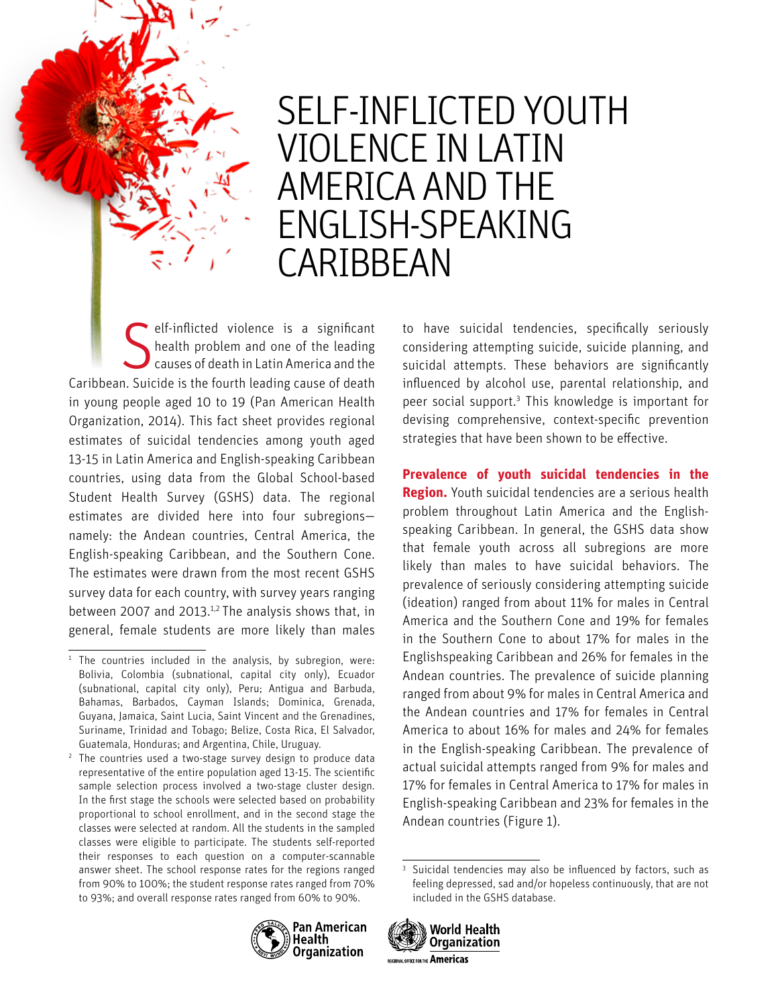# SELF-INFLICTED YOUTH VIOLENCE IN LATIN AMERICA AND THE ENGLISH-SPEAKING CARIBBEAN

Self-inflicted violence is a significant<br>health problem and one of the leading<br>causes of death in Latin America and the health problem and one of the leading causes of death in Latin America and the Caribbean. Suicide is the fourth leading cause of death in young people aged 10 to 19 (Pan American Health Organization, 2014). This fact sheet provides regional estimates of suicidal tendencies among youth aged 13-15 in Latin America and English-speaking Caribbean countries, using data from the Global School-based Student Health Survey (GSHS) data. The regional estimates are divided here into four subregions namely: the Andean countries, Central America, the English-speaking Caribbean, and the Southern Cone. The estimates were drawn from the most recent GSHS survey data for each country, with survey years ranging between 2007 and 2013.<sup>1,2</sup> The analysis shows that, in general, female students are more likely than males

<sup>2</sup> The countries used a two-stage survey design to produce data representative of the entire population aged 13-15. The scientific sample selection process involved a two-stage cluster design. In the first stage the schools were selected based on probability proportional to school enrollment, and in the second stage the classes were selected at random. All the students in the sampled classes were eligible to participate. The students self-reported their responses to each question on a computer-scannable answer sheet. The school response rates for the regions ranged from 90% to 100%; the student response rates ranged from 70% to 93%; and overall response rates ranged from 60% to 90%.

to have suicidal tendencies, specifically seriously considering attempting suicide, suicide planning, and suicidal attempts. These behaviors are significantly influenced by alcohol use, parental relationship, and peer social support.<sup>3</sup> This knowledge is important for devising comprehensive, context-specific prevention strategies that have been shown to be effective.

**Prevalence of youth suicidal tendencies in the Region.** Youth suicidal tendencies are a serious health problem throughout Latin America and the Englishspeaking Caribbean. In general, the GSHS data show that female youth across all subregions are more likely than males to have suicidal behaviors. The prevalence of seriously considering attempting suicide (ideation) ranged from about 11% for males in Central America and the Southern Cone and 19% for females in the Southern Cone to about 17% for males in the Englishspeaking Caribbean and 26% for females in the Andean countries. The prevalence of suicide planning ranged from about 9% for males in Central America and the Andean countries and 17% for females in Central America to about 16% for males and 24% for females in the English-speaking Caribbean. The prevalence of actual suicidal attempts ranged from 9% for males and 17% for females in Central America to 17% for males in English-speaking Caribbean and 23% for females in the Andean countries (Figure 1).

World Health

REGIONAL OFFICE FOR THE Americas

**Organization** 



 $1$  The countries included in the analysis, by subregion, were: Bolivia, Colombia (subnational, capital city only), Ecuador (subnational, capital city only), Peru; Antigua and Barbuda, Bahamas, Barbados, Cayman Islands; Dominica, Grenada, Guyana, Jamaica, Saint Lucia, Saint Vincent and the Grenadines, Suriname, Trinidad and Tobago; Belize, Costa Rica, El Salvador, Guatemala, Honduras; and Argentina, Chile, Uruguay.

<sup>&</sup>lt;sup>3</sup> Suicidal tendencies may also be influenced by factors, such as feeling depressed, sad and/or hopeless continuously, that are not included in the GSHS database.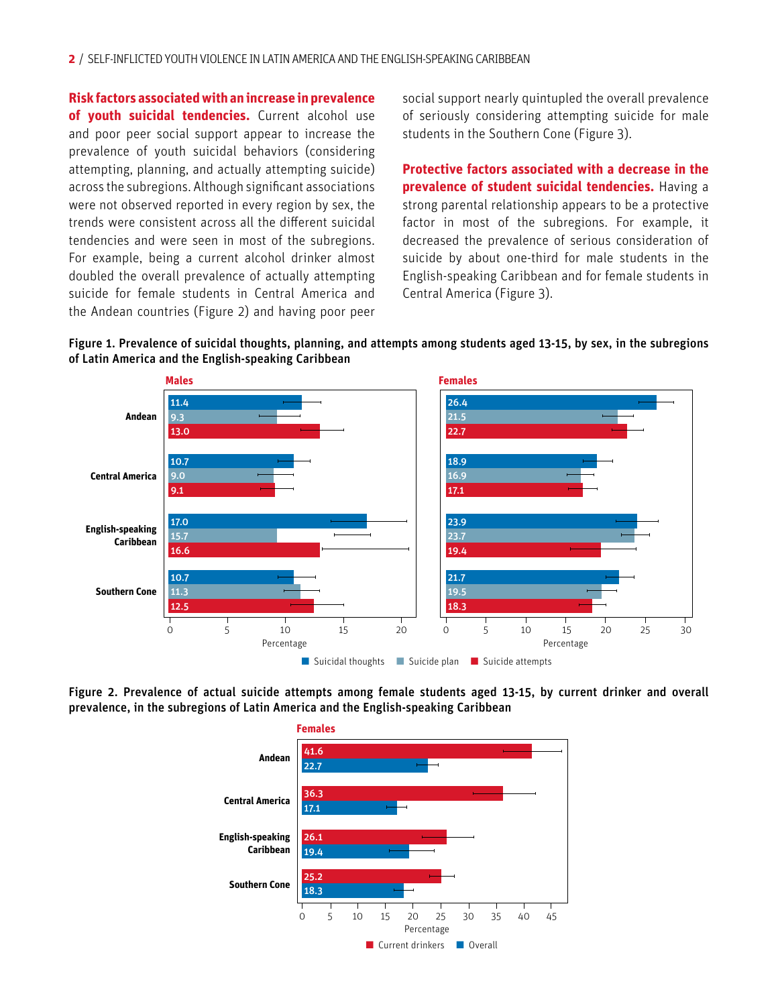**Risk factors associated with an increase in prevalence of youth suicidal tendencies.** Current alcohol use and poor peer social support appear to increase the prevalence of youth suicidal behaviors (considering attempting, planning, and actually attempting suicide) across the subregions. Although significant associations were not observed reported in every region by sex, the trends were consistent across all the different suicidal tendencies and were seen in most of the subregions. For example, being a current alcohol drinker almost doubled the overall prevalence of actually attempting suicide for female students in Central America and the Andean countries (Figure 2) and having poor peer

social support nearly quintupled the overall prevalence of seriously considering attempting suicide for male students in the Southern Cone (Figure 3).

**Protective factors associated with a decrease in the prevalence of student suicidal tendencies.** Having a strong parental relationship appears to be a protective factor in most of the subregions. For example, it decreased the prevalence of serious consideration of suicide by about one-third for male students in the English-speaking Caribbean and for female students in Central America (Figure 3).





Figure 2. Prevalence of actual suicide attempts among female students aged 13-15, by current drinker and overall prevalence, in the subregions of Latin America and the English-speaking Caribbean



**Females**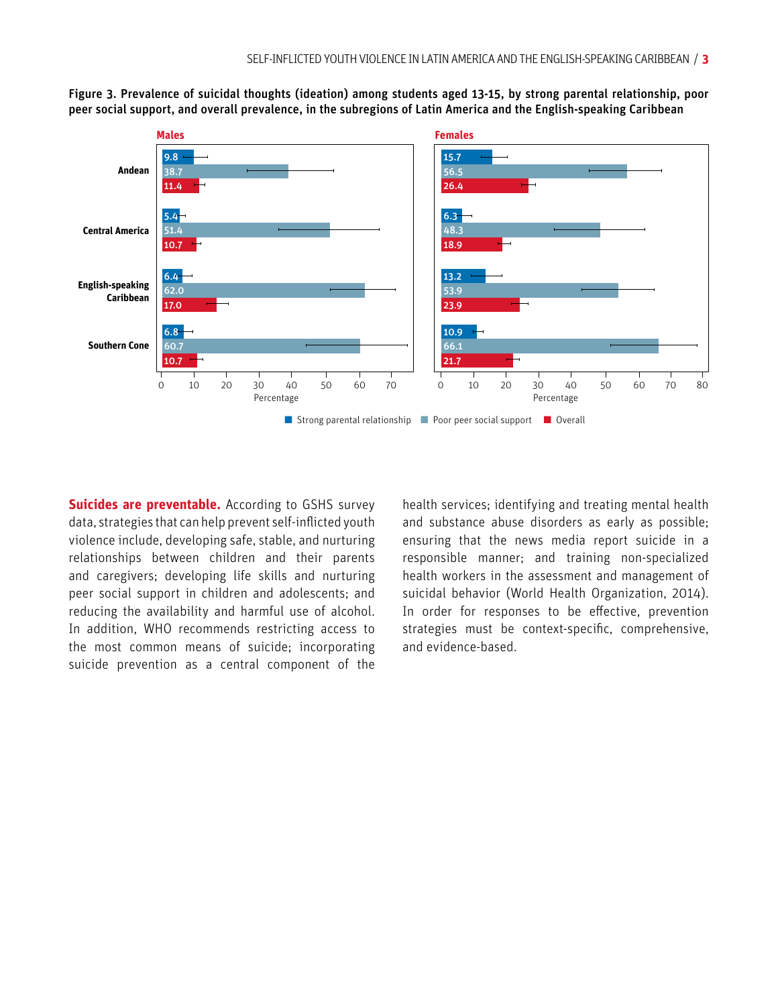

Figure 3. Prevalence of suicidal thoughts (ideation) among students aged 13-15, by strong parental relationship, poor peer social support, and overall prevalence, in the subregions of Latin America and the English-speaking Caribbean

**Suicides are preventable.** According to GSHS survey data, strategies that can help prevent self-inflicted youth violence include, developing safe, stable, and nurturing relationships between children and their parents and caregivers; developing life skills and nurturing peer social support in children and adolescents; and reducing the availability and harmful use of alcohol. In addition, WHO recommends restricting access to the most common means of suicide; incorporating suicide prevention as a central component of the health services; identifying and treating mental health and substance abuse disorders as early as possible; ensuring that the news media report suicide in a responsible manner; and training non-specialized health workers in the assessment and management of suicidal behavior (World Health Organization, 2014). In order for responses to be effective, prevention strategies must be context-specific, comprehensive, and evidence-based.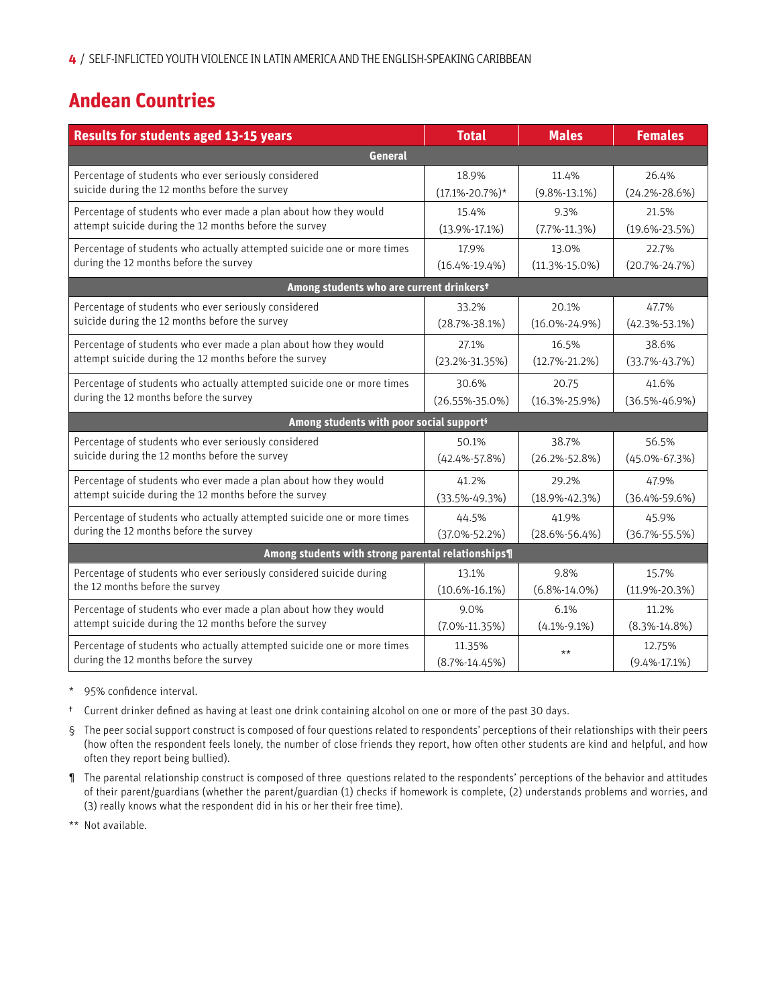# **Andean Countries**

| <b>Results for students aged 13-15 years</b>                            | <b>Total</b>         | <b>Males</b>        | <b>Females</b>      |  |  |
|-------------------------------------------------------------------------|----------------------|---------------------|---------------------|--|--|
| <b>General</b>                                                          |                      |                     |                     |  |  |
| Percentage of students who ever seriously considered                    | 18.9%                | 11.4%               | 26.4%               |  |  |
| suicide during the 12 months before the survey                          | $(17.1\% - 20.7\%)*$ | $(9.8\% - 13.1\%)$  | $(24.2\% - 28.6\%)$ |  |  |
| Percentage of students who ever made a plan about how they would        | 15.4%                | 9.3%                | 21.5%               |  |  |
| attempt suicide during the 12 months before the survey                  | $(13.9\% - 17.1\%)$  | $(7.7\% - 11.3\%)$  | $(19.6\% - 23.5\%)$ |  |  |
| Percentage of students who actually attempted suicide one or more times | 17.9%                | 13.0%               | 22.7%               |  |  |
| during the 12 months before the survey                                  | $(16.4\% - 19.4\%)$  | $(11.3\% - 15.0\%)$ | $(20.7\% - 24.7\%)$ |  |  |
| Among students who are current drinkerst                                |                      |                     |                     |  |  |
| Percentage of students who ever seriously considered                    | 33.2%                | 20.1%               | 47.7%               |  |  |
| suicide during the 12 months before the survey                          | $(28.7\% - 38.1\%)$  | $(16.0\% - 24.9\%)$ | $(42.3\% - 53.1\%)$ |  |  |
| Percentage of students who ever made a plan about how they would        | 27.1%                | 16.5%               | 38.6%               |  |  |
| attempt suicide during the 12 months before the survey                  | $(23.2\% - 31.35\%)$ | $(12.7\% - 21.2\%)$ | $(33.7\% - 43.7\%)$ |  |  |
| Percentage of students who actually attempted suicide one or more times | 30.6%                | 20.75               | 41.6%               |  |  |
| during the 12 months before the survey                                  | $(26.55\% - 35.0\%)$ | $(16.3\% - 25.9\%)$ | $(36.5\% - 46.9\%)$ |  |  |
| Among students with poor social support <sup>s</sup>                    |                      |                     |                     |  |  |
| Percentage of students who ever seriously considered                    | 50.1%                | 38.7%               | 56.5%               |  |  |
| suicide during the 12 months before the survey                          | $(42.4\% - 57.8\%)$  | $(26.2\% - 52.8\%)$ | $(45.0\% - 67.3\%)$ |  |  |
| Percentage of students who ever made a plan about how they would        | 41.2%                | 29.2%               | 47.9%               |  |  |
| attempt suicide during the 12 months before the survey                  | $(33.5\% - 49.3\%)$  | $(18.9\% - 42.3\%)$ | $(36.4\% - 59.6\%)$ |  |  |
| Percentage of students who actually attempted suicide one or more times | 44.5%                | 41.9%               | 45.9%               |  |  |
| during the 12 months before the survey                                  | $(37.0\% - 52.2\%)$  | $(28.6\% - 56.4\%)$ | $(36.7\% - 55.5\%)$ |  |  |
| Among students with strong parental relationships¶                      |                      |                     |                     |  |  |
| Percentage of students who ever seriously considered suicide during     | 13.1%                | 9.8%                | 15.7%               |  |  |
| the 12 months before the survey                                         | $(10.6\% - 16.1\%)$  | $(6.8\% - 14.0\%)$  | $(11.9\% - 20.3\%)$ |  |  |
| Percentage of students who ever made a plan about how they would        | 9.0%                 | 6.1%                | 11.2%               |  |  |
| attempt suicide during the 12 months before the survey                  | $(7.0\% - 11.35\%)$  | $(4.1\% - 9.1\%)$   | $(8.3\% - 14.8\%)$  |  |  |
| Percentage of students who actually attempted suicide one or more times | 11.35%               | $\star\star$        | 12.75%              |  |  |
| during the 12 months before the survey                                  | $(8.7\% - 14.45\%)$  |                     | $(9.4\% - 17.1\%)$  |  |  |

\* 95% confidence interval.

- † Current drinker defined as having at least one drink containing alcohol on one or more of the past 30 days.
- § The peer social support construct is composed of four questions related to respondents' perceptions of their relationships with their peers (how often the respondent feels lonely, the number of close friends they report, how often other students are kind and helpful, and how often they report being bullied).
- ¶ The parental relationship construct is composed of three questions related to the respondents' perceptions of the behavior and attitudes of their parent/guardians (whether the parent/guardian (1) checks if homework is complete, (2) understands problems and worries, and (3) really knows what the respondent did in his or her their free time).

\*\* Not available.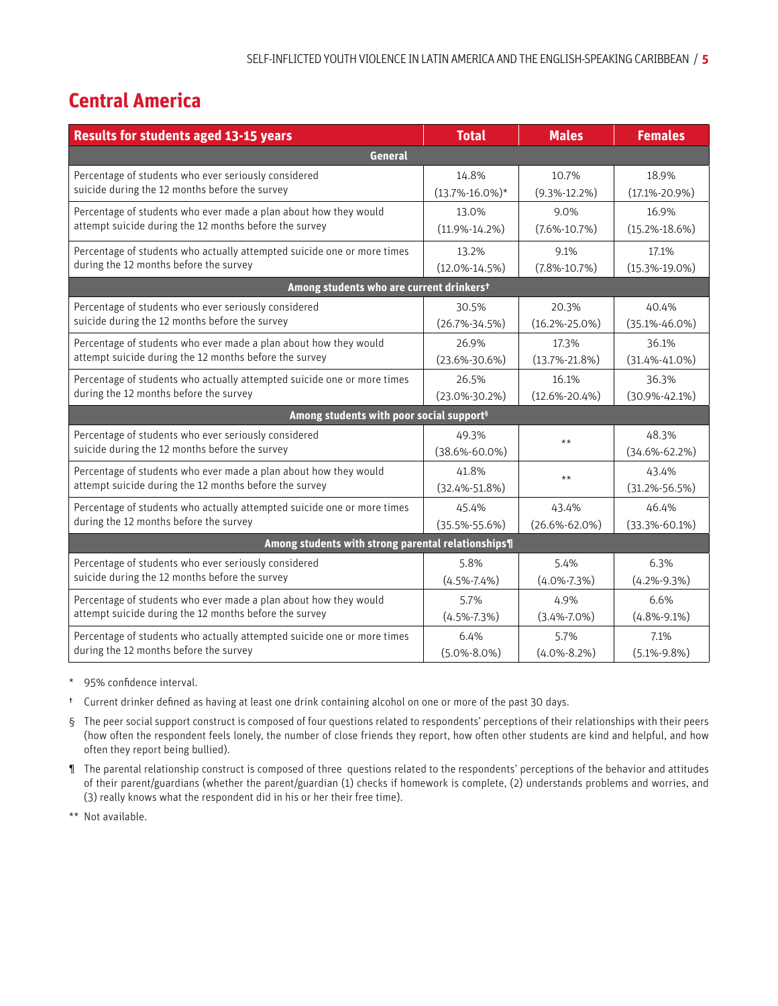# **Central America**

| <b>Results for students aged 13-15 years</b>                            | <b>Total</b>         | <b>Males</b>        | <b>Females</b>      |  |  |
|-------------------------------------------------------------------------|----------------------|---------------------|---------------------|--|--|
| General                                                                 |                      |                     |                     |  |  |
| Percentage of students who ever seriously considered                    | 14.8%                | 10.7%               | 18.9%               |  |  |
| suicide during the 12 months before the survey                          | $(13.7\% - 16.0\%)*$ | $(9.3\% - 12.2\%)$  | $(17.1\% - 20.9\%)$ |  |  |
| Percentage of students who ever made a plan about how they would        | 13.0%                | 9.0%                | 16.9%               |  |  |
| attempt suicide during the 12 months before the survey                  | $(11.9\% - 14.2\%)$  | $(7.6\% - 10.7\%)$  | $(15.2\% - 18.6\%)$ |  |  |
| Percentage of students who actually attempted suicide one or more times | 13.2%                | 9.1%                | 17.1%               |  |  |
| during the 12 months before the survey                                  | $(12.0\% - 14.5\%)$  | $(7.8\% - 10.7\%)$  | $(15.3\% - 19.0\%)$ |  |  |
| Among students who are current drinkers <sup>t</sup>                    |                      |                     |                     |  |  |
| Percentage of students who ever seriously considered                    | 30.5%                | 20.3%               | 40.4%               |  |  |
| suicide during the 12 months before the survey                          | $(26.7\% - 34.5\%)$  | $(16.2\% - 25.0\%)$ | $(35.1\% - 46.0\%)$ |  |  |
| Percentage of students who ever made a plan about how they would        | 26.9%                | 17.3%               | 36.1%               |  |  |
| attempt suicide during the 12 months before the survey                  | $(23.6\% - 30.6\%)$  | $(13.7\% - 21.8\%)$ | $(31.4\% - 41.0\%)$ |  |  |
| Percentage of students who actually attempted suicide one or more times | 26.5%                | 16.1%               | 36.3%               |  |  |
| during the 12 months before the survey                                  | $(23.0\% - 30.2\%)$  | $(12.6\% - 20.4\%)$ | $(30.9\% - 42.1\%)$ |  |  |
| Among students with poor social support <sup>s</sup>                    |                      |                     |                     |  |  |
| Percentage of students who ever seriously considered                    | 49.3%                | $***$               | 48.3%               |  |  |
| suicide during the 12 months before the survey                          | $(38.6\% - 60.0\%)$  |                     | $(34.6\% - 62.2\%)$ |  |  |
| Percentage of students who ever made a plan about how they would        | 41.8%                | $***$               | 43.4%               |  |  |
| attempt suicide during the 12 months before the survey                  | $(32.4\% - 51.8\%)$  |                     | $(31.2\% - 56.5\%)$ |  |  |
| Percentage of students who actually attempted suicide one or more times | 45.4%                | 43.4%               | 46.4%               |  |  |
| during the 12 months before the survey                                  | $(35.5\% - 55.6\%)$  | $(26.6\% - 62.0\%)$ | $(33.3\% - 60.1\%)$ |  |  |
| Among students with strong parental relationships¶                      |                      |                     |                     |  |  |
| Percentage of students who ever seriously considered                    | 5.8%                 | 5.4%                | 6.3%                |  |  |
| suicide during the 12 months before the survey                          | $(4.5\% - 7.4\%)$    | $(4.0\% - 7.3\%)$   | $(4.2\% - 9.3\%)$   |  |  |
| Percentage of students who ever made a plan about how they would        | 5.7%                 | 4.9%                | 6.6%                |  |  |
| attempt suicide during the 12 months before the survey                  | $(4.5\% - 7.3\%)$    | $(3.4\% - 7.0\%)$   | $(4.8\% - 9.1\%)$   |  |  |
| Percentage of students who actually attempted suicide one or more times | 6.4%                 | 5.7%                | 7.1%                |  |  |
| during the 12 months before the survey                                  | $(5.0\% - 8.0\%)$    | $(4.0\% - 8.2\%)$   | $(5.1\% - 9.8\%)$   |  |  |

95% confidence interval.

- † Current drinker defined as having at least one drink containing alcohol on one or more of the past 30 days.
- § The peer social support construct is composed of four questions related to respondents' perceptions of their relationships with their peers (how often the respondent feels lonely, the number of close friends they report, how often other students are kind and helpful, and how often they report being bullied).
- ¶ The parental relationship construct is composed of three questions related to the respondents' perceptions of the behavior and attitudes of their parent/guardians (whether the parent/guardian (1) checks if homework is complete, (2) understands problems and worries, and (3) really knows what the respondent did in his or her their free time).
- \*\* Not available.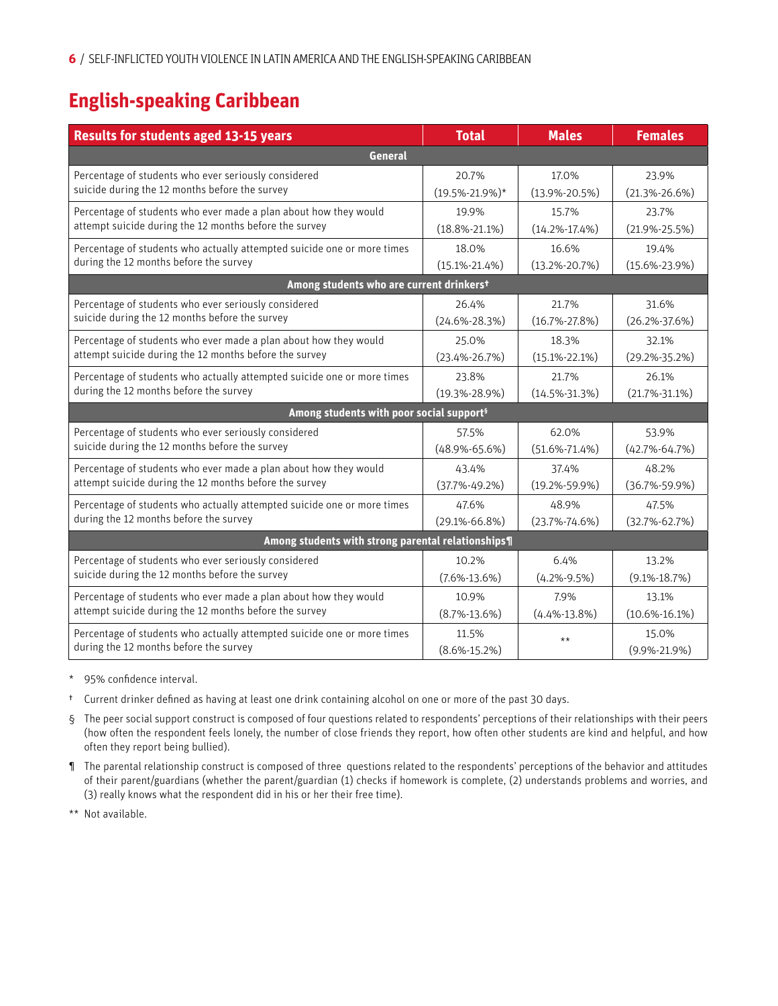# **English-speaking Caribbean**

| <b>Results for students aged 13-15 years</b>                            | <b>Total</b>         | <b>Males</b>        | <b>Females</b>      |  |  |
|-------------------------------------------------------------------------|----------------------|---------------------|---------------------|--|--|
| General                                                                 |                      |                     |                     |  |  |
| Percentage of students who ever seriously considered                    | 20.7%                | 17.0%               | 23.9%               |  |  |
| suicide during the 12 months before the survey                          | $(19.5\% - 21.9\%)*$ | $(13.9\% - 20.5\%)$ | $(21.3\% - 26.6\%)$ |  |  |
| Percentage of students who ever made a plan about how they would        | 19.9%                | 15.7%               | 23.7%               |  |  |
| attempt suicide during the 12 months before the survey                  | $(18.8\% - 21.1\%)$  | $(14.2\% - 17.4\%)$ | $(21.9\% - 25.5\%)$ |  |  |
| Percentage of students who actually attempted suicide one or more times | 18.0%                | 16.6%               | 19.4%               |  |  |
| during the 12 months before the survey                                  | $(15.1\% - 21.4\%)$  | $(13.2\% - 20.7\%)$ | $(15.6\% - 23.9\%)$ |  |  |
| Among students who are current drinkerst                                |                      |                     |                     |  |  |
| Percentage of students who ever seriously considered                    | 26.4%                | 21.7%               | 31.6%               |  |  |
| suicide during the 12 months before the survey                          | $(24.6\% - 28.3\%)$  | $(16.7\% - 27.8\%)$ | $(26.2\% - 37.6\%)$ |  |  |
| Percentage of students who ever made a plan about how they would        | 25.0%                | 18.3%               | 32.1%               |  |  |
| attempt suicide during the 12 months before the survey                  | $(23.4\% - 26.7\%)$  | $(15.1\% - 22.1\%)$ | $(29.2\% - 35.2\%)$ |  |  |
| Percentage of students who actually attempted suicide one or more times | 23.8%                | 21.7%               | 26.1%               |  |  |
| during the 12 months before the survey                                  | $(19.3\% - 28.9\%)$  | $(14.5\% - 31.3\%)$ | $(21.7\% - 31.1\%)$ |  |  |
| Among students with poor social support <sup>s</sup>                    |                      |                     |                     |  |  |
| Percentage of students who ever seriously considered                    | 57.5%                | 62.0%               | 53.9%               |  |  |
| suicide during the 12 months before the survey                          | $(48.9\% - 65.6\%)$  | $(51.6\% - 71.4\%)$ | $(42.7\% - 64.7\%)$ |  |  |
| Percentage of students who ever made a plan about how they would        | 43.4%                | 37.4%               | 48.2%               |  |  |
| attempt suicide during the 12 months before the survey                  | $(37.7\% - 49.2\%)$  | $(19.2\% - 59.9\%)$ | $(36.7\% - 59.9\%)$ |  |  |
| Percentage of students who actually attempted suicide one or more times | 47.6%                | 48.9%               | 47.5%               |  |  |
| during the 12 months before the survey                                  | $(29.1\% - 66.8\%)$  | $(23.7\% - 74.6\%)$ | $(32.7\% - 62.7\%)$ |  |  |
| Among students with strong parental relationships¶                      |                      |                     |                     |  |  |
| Percentage of students who ever seriously considered                    | 10.2%                | 6.4%                | 13.2%               |  |  |
| suicide during the 12 months before the survey                          | $(7.6\% - 13.6\%)$   | $(4.2\% - 9.5\%)$   | $(9.1\% - 18.7\%)$  |  |  |
| Percentage of students who ever made a plan about how they would        | 10.9%                | 7.9%                | 13.1%               |  |  |
| attempt suicide during the 12 months before the survey                  | $(8.7\% - 13.6\%)$   | $(4.4\% - 13.8\%)$  | $(10.6\% - 16.1\%)$ |  |  |
| Percentage of students who actually attempted suicide one or more times | 11.5%                | $***$               | 15.0%               |  |  |
| during the 12 months before the survey                                  | $(8.6\% - 15.2\%)$   |                     | $(9.9\% - 21.9\%)$  |  |  |

\* 95% confidence interval.

- † Current drinker defined as having at least one drink containing alcohol on one or more of the past 30 days.
- § The peer social support construct is composed of four questions related to respondents' perceptions of their relationships with their peers (how often the respondent feels lonely, the number of close friends they report, how often other students are kind and helpful, and how often they report being bullied).
- ¶ The parental relationship construct is composed of three questions related to the respondents' perceptions of the behavior and attitudes of their parent/guardians (whether the parent/guardian (1) checks if homework is complete, (2) understands problems and worries, and (3) really knows what the respondent did in his or her their free time).

\*\* Not available.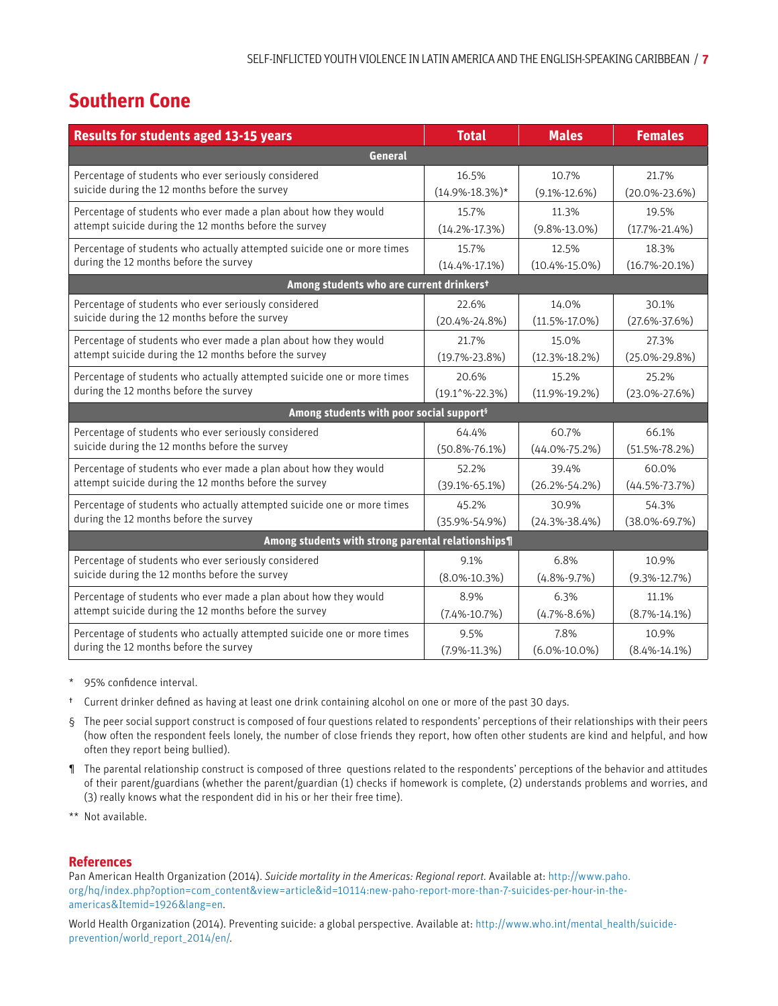### **Southern Cone**

| <b>Results for students aged 13-15 years</b>                            | <b>Total</b>                | <b>Males</b>        | <b>Females</b>      |  |  |
|-------------------------------------------------------------------------|-----------------------------|---------------------|---------------------|--|--|
| <b>General</b>                                                          |                             |                     |                     |  |  |
| Percentage of students who ever seriously considered                    | 16.5%                       | 10.7%               | 21.7%               |  |  |
| suicide during the 12 months before the survey                          | $(14.9\% - 18.3\%)*$        | $(9.1\% - 12.6\%)$  | $(20.0\% - 23.6\%)$ |  |  |
| Percentage of students who ever made a plan about how they would        | 15.7%                       | 11.3%               | 19.5%               |  |  |
| attempt suicide during the 12 months before the survey                  | $(14.2\% - 17.3\%)$         | $(9.8\% - 13.0\%)$  | $(17.7\% - 21.4\%)$ |  |  |
| Percentage of students who actually attempted suicide one or more times | 15.7%                       | 12.5%               | 18.3%               |  |  |
| during the 12 months before the survey                                  | $(14.4\% - 17.1\%)$         | $(10.4\% - 15.0\%)$ | $(16.7\% - 20.1\%)$ |  |  |
| Among students who are current drinkerst                                |                             |                     |                     |  |  |
| Percentage of students who ever seriously considered                    | 22.6%                       | 14.0%               | 30.1%               |  |  |
| suicide during the 12 months before the survey                          | $(20.4\% - 24.8\%)$         | $(11.5\% - 17.0\%)$ | $(27.6\% - 37.6\%)$ |  |  |
| Percentage of students who ever made a plan about how they would        | 21.7%                       | 15.0%               | 27.3%               |  |  |
| attempt suicide during the 12 months before the survey                  | $(19.7\% - 23.8\%)$         | $(12.3\% - 18.2\%)$ | $(25.0\% - 29.8\%)$ |  |  |
| Percentage of students who actually attempted suicide one or more times | 20.6%                       | 15.2%               | 25.2%               |  |  |
| during the 12 months before the survey                                  | $(19.1^{\circ}\% - 22.3\%)$ | $(11.9\% - 19.2\%)$ | $(23.0\% - 27.6\%)$ |  |  |
| Among students with poor social support <sup>§</sup>                    |                             |                     |                     |  |  |
| Percentage of students who ever seriously considered                    | 64.4%                       | 60.7%               | 66.1%               |  |  |
| suicide during the 12 months before the survey                          | $(50.8\% - 76.1\%)$         | $(44.0\% - 75.2\%)$ | $(51.5\% - 78.2\%)$ |  |  |
| Percentage of students who ever made a plan about how they would        | 52.2%                       | 39.4%               | 60.0%               |  |  |
| attempt suicide during the 12 months before the survey                  | $(39.1\% - 65.1\%)$         | $(26.2\% - 54.2\%)$ | $(44.5\% - 73.7\%)$ |  |  |
| Percentage of students who actually attempted suicide one or more times | 45.2%                       | 30.9%               | 54.3%               |  |  |
| during the 12 months before the survey                                  | $(35.9\% - 54.9\%)$         | $(24.3\% - 38.4\%)$ | $(38.0\% - 69.7\%)$ |  |  |
| Among students with strong parental relationships¶                      |                             |                     |                     |  |  |
| Percentage of students who ever seriously considered                    | 9.1%                        | 6.8%                | 10.9%               |  |  |
| suicide during the 12 months before the survey                          | $(8.0\% - 10.3\%)$          | $(4.8\% - 9.7\%)$   | $(9.3\% - 12.7\%)$  |  |  |
| Percentage of students who ever made a plan about how they would        | 8.9%                        | 6.3%                | 11.1%               |  |  |
| attempt suicide during the 12 months before the survey                  | $(7.4\% - 10.7\%)$          | $(4.7\% - 8.6\%)$   | $(8.7\% - 14.1\%)$  |  |  |
| Percentage of students who actually attempted suicide one or more times | 9.5%                        | 7.8%                | 10.9%               |  |  |
| during the 12 months before the survey                                  | $(7.9\% - 11.3\%)$          | $(6.0\% - 10.0\%)$  | $(8.4\% - 14.1\%)$  |  |  |

- 95% confidence interval.
- † Current drinker defined as having at least one drink containing alcohol on one or more of the past 30 days.
- § The peer social support construct is composed of four questions related to respondents' perceptions of their relationships with their peers (how often the respondent feels lonely, the number of close friends they report, how often other students are kind and helpful, and how often they report being bullied).
- ¶ The parental relationship construct is composed of three questions related to the respondents' perceptions of the behavior and attitudes of their parent/guardians (whether the parent/guardian (1) checks if homework is complete, (2) understands problems and worries, and (3) really knows what the respondent did in his or her their free time).
- \*\* Not available.

#### **References**

Pan American Health Organization (2014). *Suicide mortality in the Americas: Regional report.* Available at: [http://www.paho.](http://www.paho.org/hq/index.php?option=com_content&view=article&id=10114:new-paho-report-more-than-7-suicides-per-hour-in-the-americas&Itemid=1926&lang=en) [org/hq/index.php?option=com\\_content&view=article&id=10114:new-paho-report-more-than-7-suicides-per-hour-in-the](http://www.paho.org/hq/index.php?option=com_content&view=article&id=10114:new-paho-report-more-than-7-suicides-per-hour-in-the-americas&Itemid=1926&lang=en)[americas&Itemid=1926&lang=en](http://www.paho.org/hq/index.php?option=com_content&view=article&id=10114:new-paho-report-more-than-7-suicides-per-hour-in-the-americas&Itemid=1926&lang=en)*.* 

World Health Organization (2014). Preventing suicide: a global perspective. Available at: [http://www.who.int/mental\\_health/suicide](http://www.who.int/mental_health/suicide-prevention/world_report_2014/en/)[prevention/world\\_report\\_2014/en/](http://www.who.int/mental_health/suicide-prevention/world_report_2014/en/)*.*